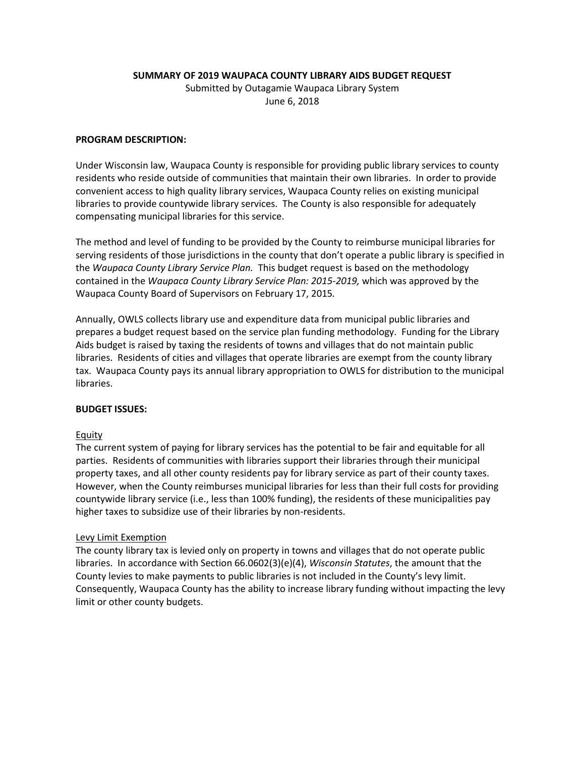**SUMMARY OF 2019 WAUPACA COUNTY LIBRARY AIDS BUDGET REQUEST**

Submitted by Outagamie Waupaca Library System June 6, 2018

## **PROGRAM DESCRIPTION:**

Under Wisconsin law, Waupaca County is responsible for providing public library services to county residents who reside outside of communities that maintain their own libraries. In order to provide convenient access to high quality library services, Waupaca County relies on existing municipal libraries to provide countywide library services. The County is also responsible for adequately compensating municipal libraries for this service.

The method and level of funding to be provided by the County to reimburse municipal libraries for serving residents of those jurisdictions in the county that don't operate a public library is specified in the *Waupaca County Library Service Plan.* This budget request is based on the methodology contained in the *Waupaca County Library Service Plan: 2015-2019,* which was approved by the Waupaca County Board of Supervisors on February 17, 2015*.*

Annually, OWLS collects library use and expenditure data from municipal public libraries and prepares a budget request based on the service plan funding methodology. Funding for the Library Aids budget is raised by taxing the residents of towns and villages that do not maintain public libraries. Residents of cities and villages that operate libraries are exempt from the county library tax. Waupaca County pays its annual library appropriation to OWLS for distribution to the municipal libraries.

### **BUDGET ISSUES:**

### Equity

The current system of paying for library services has the potential to be fair and equitable for all parties. Residents of communities with libraries support their libraries through their municipal property taxes, and all other county residents pay for library service as part of their county taxes. However, when the County reimburses municipal libraries for less than their full costs for providing countywide library service (i.e., less than 100% funding), the residents of these municipalities pay higher taxes to subsidize use of their libraries by non-residents.

### Levy Limit Exemption

The county library tax is levied only on property in towns and villages that do not operate public libraries. In accordance with Section 66.0602(3)(e)(4), *Wisconsin Statutes*, the amount that the County levies to make payments to public libraries is not included in the County's levy limit. Consequently, Waupaca County has the ability to increase library funding without impacting the levy limit or other county budgets.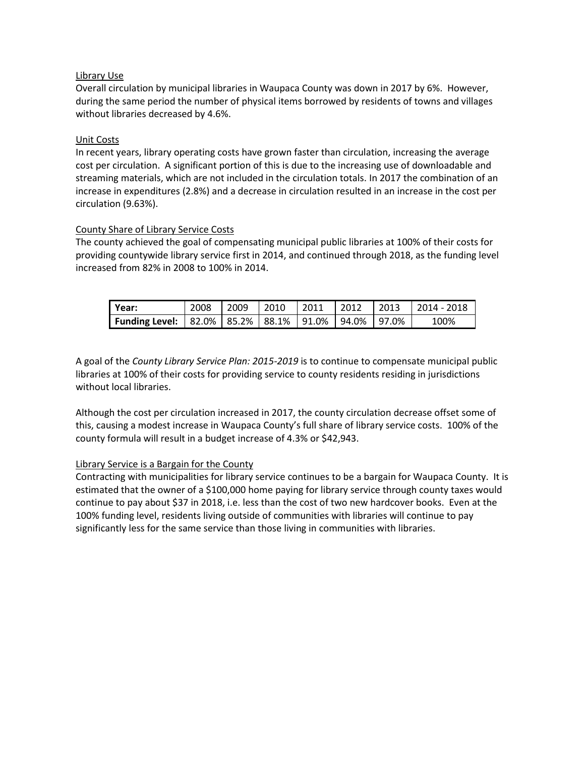## Library Use

Overall circulation by municipal libraries in Waupaca County was down in 2017 by 6%. However, during the same period the number of physical items borrowed by residents of towns and villages without libraries decreased by 4.6%.

## Unit Costs

In recent years, library operating costs have grown faster than circulation, increasing the average cost per circulation. A significant portion of this is due to the increasing use of downloadable and streaming materials, which are not included in the circulation totals. In 2017 the combination of an increase in expenditures (2.8%) and a decrease in circulation resulted in an increase in the cost per circulation (9.63%).

## County Share of Library Service Costs

The county achieved the goal of compensating municipal public libraries at 100% of their costs for providing countywide library service first in 2014, and continued through 2018, as the funding level increased from 82% in 2008 to 100% in 2014.

| l Year:                                                                | 2008 | 2009 | 2010 | $\mid$ 2011 | 2012 | $\vert$ 2013 | $\mid$ 2014 - 2018 |
|------------------------------------------------------------------------|------|------|------|-------------|------|--------------|--------------------|
| Funding Level: $  82.0\%   85.2\%   88.1\%   91.0\%   94.0\%   97.0\%$ |      |      |      |             |      |              | 100%               |

A goal of the *County Library Service Plan: 2015-2019* is to continue to compensate municipal public libraries at 100% of their costs for providing service to county residents residing in jurisdictions without local libraries.

Although the cost per circulation increased in 2017, the county circulation decrease offset some of this, causing a modest increase in Waupaca County's full share of library service costs. 100% of the county formula will result in a budget increase of 4.3% or \$42,943.

### Library Service is a Bargain for the County

Contracting with municipalities for library service continues to be a bargain for Waupaca County. It is estimated that the owner of a \$100,000 home paying for library service through county taxes would continue to pay about \$37 in 2018, i.e. less than the cost of two new hardcover books. Even at the 100% funding level, residents living outside of communities with libraries will continue to pay significantly less for the same service than those living in communities with libraries.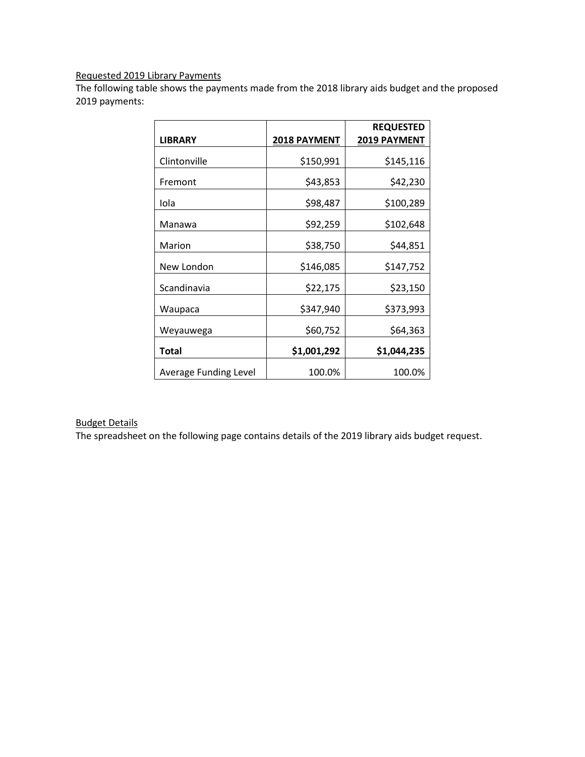# Requested 2019 Library Payments

The following table shows the payments made from the 2018 library aids budget and the proposed 2019 payments:

|                              |                     | <b>REQUESTED</b>    |
|------------------------------|---------------------|---------------------|
| <b>LIBRARY</b>               | <b>2018 PAYMENT</b> | <b>2019 PAYMENT</b> |
| Clintonville                 | \$150,991           | \$145,116           |
| Fremont                      | \$43,853            | \$42,230            |
| Iola                         | \$98,487            | \$100,289           |
| Manawa                       | \$92,259            | \$102,648           |
| Marion                       | \$38,750            | \$44,851            |
| New London                   | \$146,085           | \$147,752           |
| Scandinavia                  | \$22,175            | \$23,150            |
| Waupaca                      | \$347,940           | \$373,993           |
| Weyauwega                    | \$60,752            | \$64,363            |
| <b>Total</b>                 | \$1,001,292         | \$1,044,235         |
| <b>Average Funding Level</b> | 100.0%              | 100.0%              |

## Budget Details

The spreadsheet on the following page contains details of the 2019 library aids budget request.